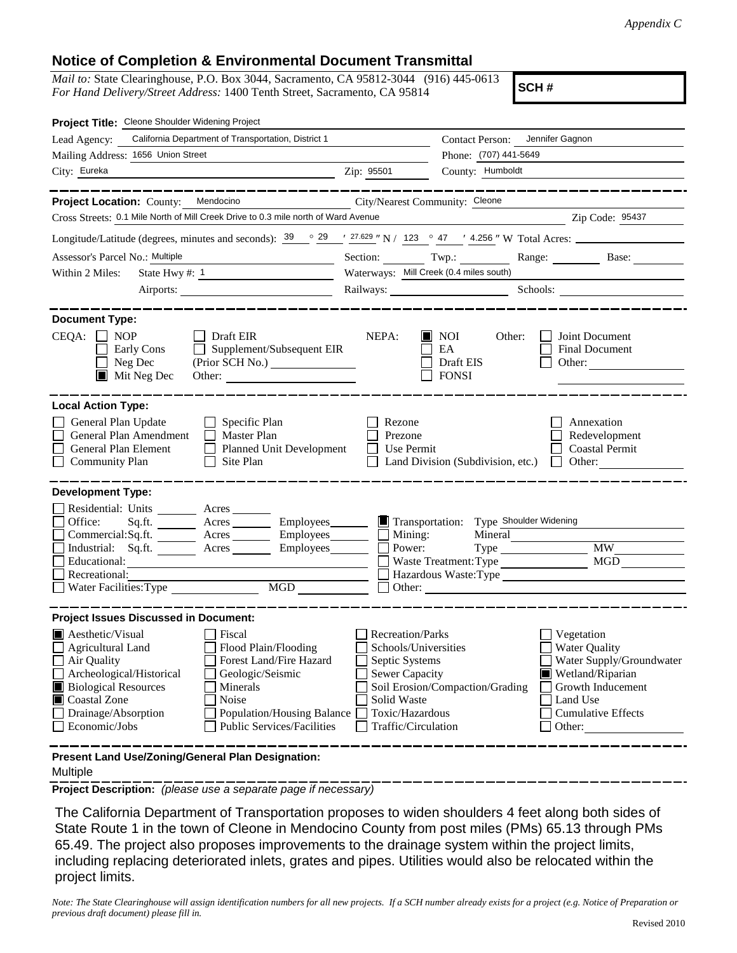## **Notice of Completion & Environmental Document Transmittal**

*Mail to:* State Clearinghouse, P.O. Box 3044, Sacramento, CA 95812-3044 (916) 445-0613 *For Hand Delivery/Street Address:* 1400 Tenth Street, Sacramento, CA 95814

**SCH #**

| Project Title: Cleone Shoulder Widening Project                                                                                                                                                                                                                                                                                                                        |                                                                                                                                       |                                                                                                                             |                                                                                                                                                            |  |  |
|------------------------------------------------------------------------------------------------------------------------------------------------------------------------------------------------------------------------------------------------------------------------------------------------------------------------------------------------------------------------|---------------------------------------------------------------------------------------------------------------------------------------|-----------------------------------------------------------------------------------------------------------------------------|------------------------------------------------------------------------------------------------------------------------------------------------------------|--|--|
| California Department of Transportation, District 1<br>Lead Agency:                                                                                                                                                                                                                                                                                                    |                                                                                                                                       | <b>Contact Person:</b>                                                                                                      | Jennifer Gagnon                                                                                                                                            |  |  |
| Mailing Address: 1656 Union Street                                                                                                                                                                                                                                                                                                                                     | Phone: (707) 441-5649                                                                                                                 |                                                                                                                             |                                                                                                                                                            |  |  |
| City: Eureka                                                                                                                                                                                                                                                                                                                                                           | Zip: 95501                                                                                                                            | County: Humboldt                                                                                                            |                                                                                                                                                            |  |  |
|                                                                                                                                                                                                                                                                                                                                                                        |                                                                                                                                       |                                                                                                                             |                                                                                                                                                            |  |  |
| Project Location: County: Mendocino                                                                                                                                                                                                                                                                                                                                    | City/Nearest Community: Cleone                                                                                                        |                                                                                                                             |                                                                                                                                                            |  |  |
| Cross Streets: 0.1 Mile North of Mill Creek Drive to 0.3 mile north of Ward Avenue                                                                                                                                                                                                                                                                                     |                                                                                                                                       |                                                                                                                             | Zip Code: 95437                                                                                                                                            |  |  |
| Longitude/Latitude (degrees, minutes and seconds): $39 \degree$ 29 $\degree$ $\frac{27.629}{ }$ "N / 123 $\degree$ 47 $\degree$ 4.256 " W Total Acres:                                                                                                                                                                                                                 |                                                                                                                                       |                                                                                                                             |                                                                                                                                                            |  |  |
| Assessor's Parcel No.: Multiple<br>the control of the control of the control of                                                                                                                                                                                                                                                                                        |                                                                                                                                       |                                                                                                                             | Section: Twp.: Range: Base:                                                                                                                                |  |  |
| State Hwy #: $1$<br>Within 2 Miles:                                                                                                                                                                                                                                                                                                                                    | Waterways: Mill Creek (0.4 miles south)                                                                                               |                                                                                                                             |                                                                                                                                                            |  |  |
|                                                                                                                                                                                                                                                                                                                                                                        |                                                                                                                                       |                                                                                                                             | Railways: Schools: Schools: Schools: 2001                                                                                                                  |  |  |
| <b>Document Type:</b><br>$CEQA: \Box$<br><b>NOP</b><br>Draft EIR<br>Supplement/Subsequent EIR<br>Early Cons<br>Neg Dec<br>$\blacksquare$ Mit Neg Dec<br>Other:                                                                                                                                                                                                         | NEPA:                                                                                                                                 | $\blacksquare$ NOI<br>Other:<br>EA<br>Draft EIS<br><b>FONSI</b>                                                             | Joint Document<br>Final Document<br>Other:                                                                                                                 |  |  |
| <b>Local Action Type:</b><br>General Plan Update<br>$\Box$ Specific Plan<br>General Plan Amendment<br>Master Plan<br>General Plan Element<br>Planned Unit Development<br>$\Box$ Community Plan<br>Site Plan                                                                                                                                                            | Rezone<br>Prezone<br><b>Use Permit</b>                                                                                                | Land Division (Subdivision, etc.)                                                                                           | Annexation<br>Redevelopment<br><b>Coastal Permit</b><br>Other:<br>$\mathbf{1}$                                                                             |  |  |
| <b>Development Type:</b>                                                                                                                                                                                                                                                                                                                                               |                                                                                                                                       |                                                                                                                             |                                                                                                                                                            |  |  |
| Residential: Units ________ Acres _______<br>Office:<br>Employees_______<br>Sq.ft.<br>Acres<br>Commercial:Sq.ft. ________ Acres _______<br>Employees________<br>Industrial: $Sq.fit.$ Acres<br>Employees________<br>Educational:<br>Recreational:<br>MGD<br>Water Facilities: Type                                                                                     | Mining:<br>Power:                                                                                                                     | Transportation: Type Shoulder Widening<br>Mineral<br>Type<br>Waste Treatment: Type<br>Hazardous Waste:Type<br>$\Box$ Other: | <b>MW</b><br>MGD                                                                                                                                           |  |  |
| <b>Project Issues Discussed in Document:</b>                                                                                                                                                                                                                                                                                                                           |                                                                                                                                       |                                                                                                                             |                                                                                                                                                            |  |  |
| $\blacksquare$ Aesthetic/Visual<br>Fiscal<br>Flood Plain/Flooding<br>Agricultural Land<br>Forest Land/Fire Hazard<br>Air Quality<br>Archeological/Historical<br>Geologic/Seismic<br><b>Biological Resources</b><br>Minerals<br>Coastal Zone<br>Noise<br>Drainage/Absorption<br><b>Population/Housing Balance</b><br>Economic/Jobs<br><b>Public Services/Facilities</b> | Recreation/Parks<br>Schools/Universities<br>Septic Systems<br>Sewer Capacity<br>Solid Waste<br>Toxic/Hazardous<br>Traffic/Circulation | Soil Erosion/Compaction/Grading                                                                                             | Vegetation<br><b>Water Quality</b><br>Water Supply/Groundwater<br>Wetland/Riparian<br>Growth Inducement<br>Land Use<br><b>Cumulative Effects</b><br>Other: |  |  |
| Present Land Use/Zoning/General Plan Designation:                                                                                                                                                                                                                                                                                                                      |                                                                                                                                       |                                                                                                                             |                                                                                                                                                            |  |  |

## Multiple

**Project Description:** *(please use a separate page if necessary)*

 The California Department of Transportation proposes to widen shoulders 4 feet along both sides of State Route 1 in the town of Cleone in Mendocino County from post miles (PMs) 65.13 through PMs 65.49. The project also proposes improvements to the drainage system within the project limits, including replacing deteriorated inlets, grates and pipes. Utilities would also be relocated within the project limits.

*Note: The State Clearinghouse will assign identification numbers for all new projects. If a SCH number already exists for a project (e.g. Notice of Preparation or previous draft document) please fill in.*